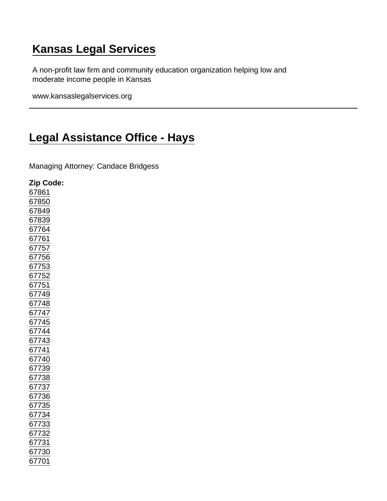## [Kansas Legal Services](https://www.kansaslegalservices.org/)

A non-profit law firm and community education organization helping low and moderate income people in Kansas

www.kansaslegalservices.org

## [Legal Assistance Office - Hays](https://www.kansaslegalservices.org/node/45/legal-assistance-office-hays)

Managing Attorney: Candace Bridgess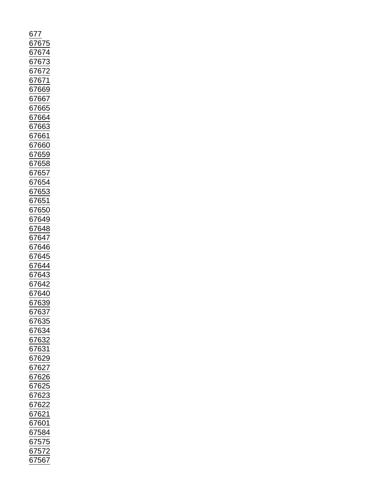| 677<br>67675                                                      |
|-------------------------------------------------------------------|
|                                                                   |
| 67674                                                             |
| <u>67673</u>                                                      |
|                                                                   |
|                                                                   |
|                                                                   |
| $\frac{67672}{67671}$<br>$\frac{67671}{67669}$                    |
|                                                                   |
|                                                                   |
| 67667<br>67665                                                    |
| 67664                                                             |
|                                                                   |
| 67663                                                             |
| 67661                                                             |
| 67660                                                             |
| <u>67659</u>                                                      |
|                                                                   |
|                                                                   |
| 67658<br>67657                                                    |
|                                                                   |
|                                                                   |
| $\frac{67654}{67653}$                                             |
| $\frac{67651}{ }$                                                 |
|                                                                   |
| $\frac{67650}{ }$                                                 |
| $\frac{2}{67649}$                                                 |
| 67648                                                             |
|                                                                   |
| 67647<br>67646<br>67645<br>67643<br>67643<br>67642                |
|                                                                   |
|                                                                   |
|                                                                   |
|                                                                   |
|                                                                   |
|                                                                   |
|                                                                   |
|                                                                   |
| 67639                                                             |
| 67637<br>67635                                                    |
|                                                                   |
|                                                                   |
|                                                                   |
|                                                                   |
|                                                                   |
|                                                                   |
|                                                                   |
|                                                                   |
|                                                                   |
| $\frac{17000}{67634}$ $\frac{67633}{67631}$ $\frac{67629}{67627}$ |
| $\frac{67625}{ }$                                                 |
|                                                                   |
| $\frac{67623}{67622}$ $\frac{67622}{67621}$                       |
|                                                                   |
|                                                                   |
| 67601                                                             |
| $\frac{67584}{ }$                                                 |
|                                                                   |
| $\frac{1}{67575}$<br>$\frac{67572}{67527}$                        |
|                                                                   |
| 67567                                                             |
|                                                                   |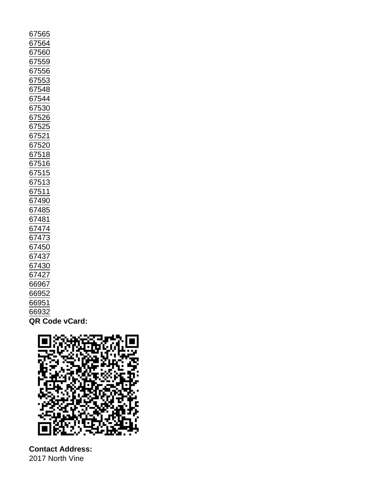| 67564<br>67560<br>67559<br>67556<br>67553<br>67548<br>67544<br>67530<br>67526<br>67525<br>67521<br>67520<br>67518<br>67516<br>67515<br>67513<br>6751<br>1<br>67490<br>67485<br>67481<br>67474<br>67473<br>67450<br>67437<br>67430<br>67427<br>66967<br>66952 |
|--------------------------------------------------------------------------------------------------------------------------------------------------------------------------------------------------------------------------------------------------------------|
|                                                                                                                                                                                                                                                              |
|                                                                                                                                                                                                                                                              |
|                                                                                                                                                                                                                                                              |
|                                                                                                                                                                                                                                                              |
|                                                                                                                                                                                                                                                              |
|                                                                                                                                                                                                                                                              |
|                                                                                                                                                                                                                                                              |
|                                                                                                                                                                                                                                                              |
|                                                                                                                                                                                                                                                              |
|                                                                                                                                                                                                                                                              |
|                                                                                                                                                                                                                                                              |
|                                                                                                                                                                                                                                                              |
|                                                                                                                                                                                                                                                              |
|                                                                                                                                                                                                                                                              |
|                                                                                                                                                                                                                                                              |
|                                                                                                                                                                                                                                                              |
|                                                                                                                                                                                                                                                              |
|                                                                                                                                                                                                                                                              |
|                                                                                                                                                                                                                                                              |
|                                                                                                                                                                                                                                                              |
|                                                                                                                                                                                                                                                              |
|                                                                                                                                                                                                                                                              |
|                                                                                                                                                                                                                                                              |
|                                                                                                                                                                                                                                                              |
| 66951                                                                                                                                                                                                                                                        |
| 66932                                                                                                                                                                                                                                                        |
| QR Code vCard:                                                                                                                                                                                                                                               |

Contact Address: 2017 North Vine